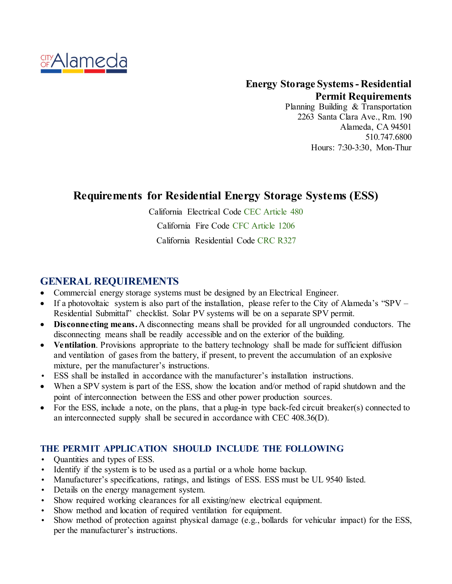

### **Energy Storage Systems- Residential Permit Requirements**

Planning Building & Transportation 2263 Santa Clara Ave., Rm. 190 Alameda, CA 94501 510.747.6800 Hours: 7:30-3:30, Mon-Thur

# **Requirements for Residential Energy Storage Systems (ESS)**

California Electrical Code CEC Article 480

California Fire Code CFC Article 1206

California Residential Code CRC R327

## **GENERAL REQUIREMENTS**

- Commercial energy storage systems must be designed by an Electrical Engineer.
- If a photovoltaic system is also part of the installation, please refer to the City of Alameda's "SPV Residential Submittal" checklist. Solar PV systems will be on a separate SPV permit.
- **Disconnecting means.** A disconnecting means shall be provided for all ungrounded conductors. The disconnecting means shall be readily accessible and on the exterior of the building.
- **Ventilation**. Provisions appropriate to the battery technology shall be made for sufficient diffusion and ventilation of gases from the battery, if present, to prevent the accumulation of an explosive mixture, per the manufacturer's instructions.
- ESS shall be installed in accordance with the manufacturer's installation instructions.
- When a SPV system is part of the ESS, show the location and/or method of rapid shutdown and the point of interconnection between the ESS and other power production sources.
- For the ESS, include a note, on the plans, that a plug-in type back-fed circuit breaker(s) connected to an interconnected supply shall be secured in accordance with CEC 408.36(D).

### **THE PERMIT APPLICATION SHOULD INCLUDE THE FOLLOWING**

- Quantities and types of ESS.
- Identify if the system is to be used as a partial or a whole home backup.
- Manufacturer's specifications, ratings, and listings of ESS. ESS must be UL 9540 listed.
- Details on the energy management system.
- Show required working clearances for all existing/new electrical equipment.
- Show method and location of required ventilation for equipment.
- Show method of protection against physical damage (e.g., bollards for vehicular impact) for the ESS, per the manufacturer's instructions.